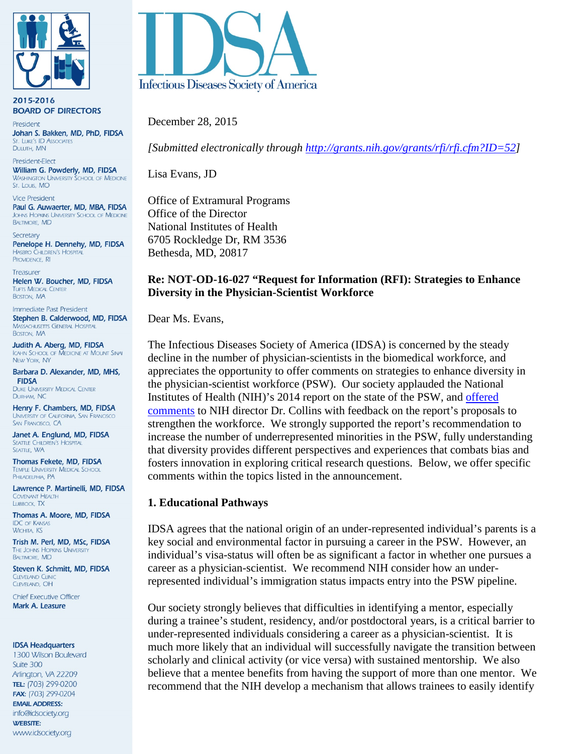

2015-2016 **BOARD OF DIRECTORS** 

President Johan S. Bakken, MD, PhD, FIDSA ST. LUKE'S ID ASSOCIATES DULUTH, MN

President-Elect William G. Powderly, MD, FIDSA **WASHINGTON UNIVERSITY SCHOOL OF MEDICINE** St. Louis, MO

**Vice President** Paul G. Auwaerter, MD, MBA, FIDSA JOHNS HOPKINS UNIVERSITY SCHOOL OF MEDICINE **BALTIMORE, MD** 

Secretary Penelope H. Dennehy, MD, FIDSA **HASBRO CHILDREN'S HOSPITAL** PROVIDENCE, RI

Treasurer Helen W. Boucher, MD, FIDSA **TUFTS MEDICAL CENTER BOSTON, MA** 

Immediate Past President Stephen B. Calderwood, MD, FIDSA **MASSACHUSETTS GENERAL HOSPITAL** BOSTON, MA

Judith A. Aberg, MD, FIDSA ICAHN SCHOOL OF MEDICINE AT MOUNT SINAI **NEW YORK, NY** 

Barbara D. Alexander, MD, MHS, **FIDSA** 

**DUKE UNIVERSITY MEDICAL CENTER** DURHAM, NC Henry F. Chambers, MD, FIDSA

UNIVERSITY OF CALIFORNIA, SAN FRANCISCO SAN FRANCISCO, CA

Janet A. Englund, MD, FIDSA **SEATTLE CHILDREN'S HOSPITAL SEATTLE, WA** 

Thomas Fekete, MD, FIDSA **TEMPLE UNIVERSITY MEDICAL SCHOOL** PHILADELPHIA, PA

Lawrence P. Martinelli, MD, FIDSA **COVENANT HEALTH** LUBBOCK, TX

Thomas A. Moore, MD, FIDSA **IDC OF KANSAS WICHITA, KS** 

Trish M. Perl, MD, MSc, FIDSA THE JOHNS HOPKINS UNIVERSITY **BALTIMORE, MD** 

Steven K. Schmitt, MD, FIDSA **CLEVELAND CLINIC** CLEVELAND, OH

Chief Executive Officer Mark A. Leasure

#### **IDSA Headquarters**

1300 Wilson Boulevard Suite 300 Arlington, VA 22209 TEL: (703) 299-0200 FAX: (703) 299-0204 **EMAIL ADDRESS:** info@idsociety.org **WEBSITE:** www.idsociety.org



December 28, 2015

*[Submitted electronically through [http://grants.nih.gov/grants/rfi/rfi.cfm?ID=52\]](http://grants.nih.gov/grants/rfi/rfi.cfm?ID=52)*

Lisa Evans, JD

Office of Extramural Programs Office of the Director National Institutes of Health 6705 Rockledge Dr, RM 3536 Bethesda, MD, 20817

# **Re: NOT-OD-16-027 "Request for Information (RFI): Strategies to Enhance Diversity in the Physician-Scientist Workforce**

Dear Ms. Evans,

The Infectious Diseases Society of America (IDSA) is concerned by the steady decline in the number of physician-scientists in the biomedical workforce, and appreciates the opportunity to offer comments on strategies to enhance diversity in the physician-scientist workforce (PSW). Our society applauded the National Institutes of Health (NIH)'s 2014 report on the state of the PSW, and [offered](http://www.idsociety.org/uploadedFiles/IDSA/Policy_and_Advocacy/Current_Topics_and_Issues/Workforce_and_Training/Comments/Joint%20IDSA%20PIDS%20HIVMA%20Letter%20on%20NIH%20PSW%20WG%20Report.pdf)  [comments](http://www.idsociety.org/uploadedFiles/IDSA/Policy_and_Advocacy/Current_Topics_and_Issues/Workforce_and_Training/Comments/Joint%20IDSA%20PIDS%20HIVMA%20Letter%20on%20NIH%20PSW%20WG%20Report.pdf) to NIH director Dr. Collins with feedback on the report's proposals to strengthen the workforce. We strongly supported the report's recommendation to increase the number of underrepresented minorities in the PSW, fully understanding that diversity provides different perspectives and experiences that combats bias and fosters innovation in exploring critical research questions. Below, we offer specific comments within the topics listed in the announcement.

### **1. Educational Pathways**

IDSA agrees that the national origin of an under-represented individual's parents is a key social and environmental factor in pursuing a career in the PSW. However, an individual's visa-status will often be as significant a factor in whether one pursues a career as a physician-scientist. We recommend NIH consider how an underrepresented individual's immigration status impacts entry into the PSW pipeline.

Our society strongly believes that difficulties in identifying a mentor, especially during a trainee's student, residency, and/or postdoctoral years, is a critical barrier to under-represented individuals considering a career as a physician-scientist. It is much more likely that an individual will successfully navigate the transition between scholarly and clinical activity (or vice versa) with sustained mentorship. We also believe that a mentee benefits from having the support of more than one mentor. We recommend that the NIH develop a mechanism that allows trainees to easily identify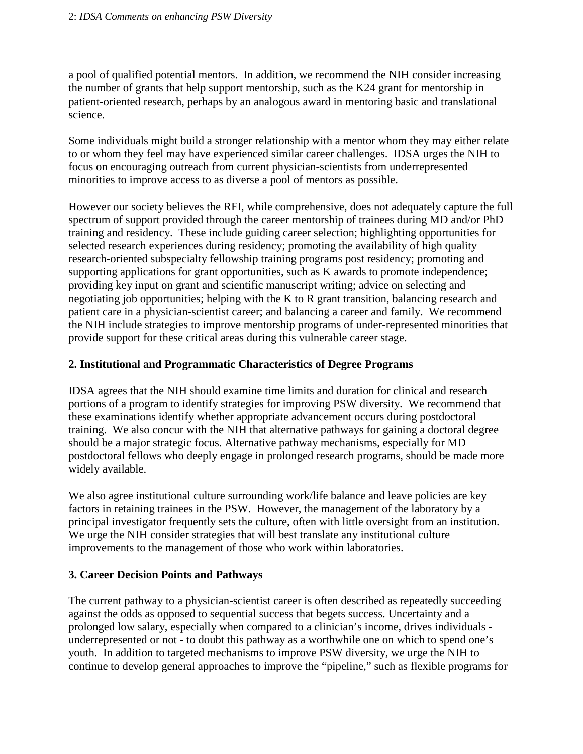a pool of qualified potential mentors. In addition, we recommend the NIH consider increasing the number of grants that help support mentorship, such as the K24 grant for mentorship in patient-oriented research, perhaps by an analogous award in mentoring basic and translational science.

Some individuals might build a stronger relationship with a mentor whom they may either relate to or whom they feel may have experienced similar career challenges. IDSA urges the NIH to focus on encouraging outreach from current physician-scientists from underrepresented minorities to improve access to as diverse a pool of mentors as possible.

However our society believes the RFI, while comprehensive, does not adequately capture the full spectrum of support provided through the career mentorship of trainees during MD and/or PhD training and residency. These include guiding career selection; highlighting opportunities for selected research experiences during residency; promoting the availability of high quality research-oriented subspecialty fellowship training programs post residency; promoting and supporting applications for grant opportunities, such as K awards to promote independence; providing key input on grant and scientific manuscript writing; advice on selecting and negotiating job opportunities; helping with the K to R grant transition, balancing research and patient care in a physician-scientist career; and balancing a career and family. We recommend the NIH include strategies to improve mentorship programs of under-represented minorities that provide support for these critical areas during this vulnerable career stage.

## **2. Institutional and Programmatic Characteristics of Degree Programs**

IDSA agrees that the NIH should examine time limits and duration for clinical and research portions of a program to identify strategies for improving PSW diversity. We recommend that these examinations identify whether appropriate advancement occurs during postdoctoral training. We also concur with the NIH that alternative pathways for gaining a doctoral degree should be a major strategic focus. Alternative pathway mechanisms, especially for MD postdoctoral fellows who deeply engage in prolonged research programs, should be made more widely available.

We also agree institutional culture surrounding work/life balance and leave policies are key factors in retaining trainees in the PSW. However, the management of the laboratory by a principal investigator frequently sets the culture, often with little oversight from an institution. We urge the NIH consider strategies that will best translate any institutional culture improvements to the management of those who work within laboratories.

## **3. Career Decision Points and Pathways**

The current pathway to a physician-scientist career is often described as repeatedly succeeding against the odds as opposed to sequential success that begets success. Uncertainty and a prolonged low salary, especially when compared to a clinician's income, drives individuals underrepresented or not - to doubt this pathway as a worthwhile one on which to spend one's youth. In addition to targeted mechanisms to improve PSW diversity, we urge the NIH to continue to develop general approaches to improve the "pipeline," such as flexible programs for